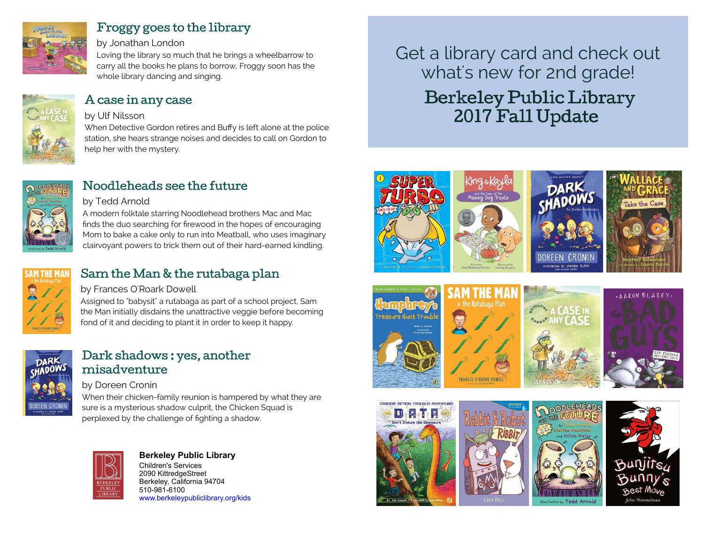

### [Froggy goes to the library](https://libraryaware.com/27K44V)

#### by Jonathan London

Loving the library so much that he brings a wheelbarrow to carry all the books he plans to borrow, Froggy soon has the whole library dancing and singing.



### [A case in any case](https://libraryaware.com/27K44W)

#### by Ulf Nilsson

When Detective Gordon retires and Buffy is left alone at the police station, she hears strange noises and decides to call on Gordon to help her with the mystery.



### [Noodleheads see the future](https://libraryaware.com/27K44X)

#### by Tedd Arnold

A modern folktale starring Noodlehead brothers Mac and Mac finds the duo searching for firewood in the hopes of encouraging Mom to bake a cake only to run into Meatball, who uses imaginary clairvoyant powers to trick them out of their hard-earned kindling.



# [Sam the Man & the rutabaga plan](https://libraryaware.com/27K44Y)

#### by Frances O'Roark Dowell

Assigned to "babysit" a rutabaga as part of a school project, Sam the Man initially disdains the unattractive veggie before becoming fond of it and deciding to plant it in order to keep it happy.



### [Dark shadows : yes, another](https://libraryaware.com/27K44Z) [misadventure](https://libraryaware.com/27K44Z)

#### by Doreen Cronin

When their chicken-family reunion is hampered by what they are sure is a mysterious shadow culprit, the Chicken Squad is perplexed by the challenge of fighting a shadow.



#### **[B](https://libraryaware.com/27K450)erkeley Public Library** Children's Services [2](https://libraryaware.com/27K450)090 KittredgeStreet Berkeley, California 94704

510-981-6100 [www.berkeleypubliclibrary.org/kids](https://libraryaware.com/27K450) Get a library card and check out what's new for 2nd grade! Berkeley Public Library 2017 Fall Update